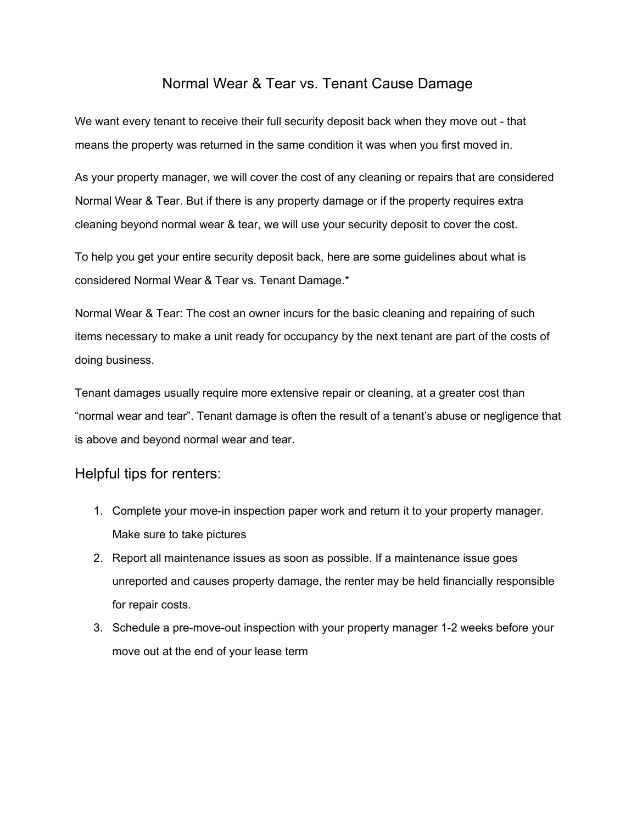## Normal Wear & Tear vs. Tenant Cause Damage

We want every tenant to receive their full security deposit back when they move out - that means the property was returned in the same condition it was when you first moved in.

As your property manager, we will cover the cost of any cleaning or repairs that are considered Normal Wear & Tear. But if there is any property damage or if the property requires extra cleaning beyond normal wear & tear, we will use your security deposit to cover the cost.

To help you get your entire security deposit back, here are some guidelines about what is considered Normal Wear & Tear vs. Tenant Damage.\*

Normal Wear & Tear: The cost an owner incurs for the basic cleaning and repairing of such items necessary to make a unit ready for occupancy by the next tenant are part of the costs of doing business.

Tenant damages usually require more extensive repair or cleaning, at a greater cost than "normal wear and tear". Tenant damage is often the result of a tenant's abuse or negligence that is above and beyond normal wear and tear.

## Helpful tips for renters:

- 1. Complete your move-in inspection paper work and return it to your property manager. Make sure to take pictures
- 2. Report all maintenance issues as soon as possible. If a maintenance issue goes unreported and causes property damage, the renter may be held financially responsible for repair costs.
- 3. Schedule a pre-move-out inspection with your property manager 1-2 weeks before your move out at the end of your lease term